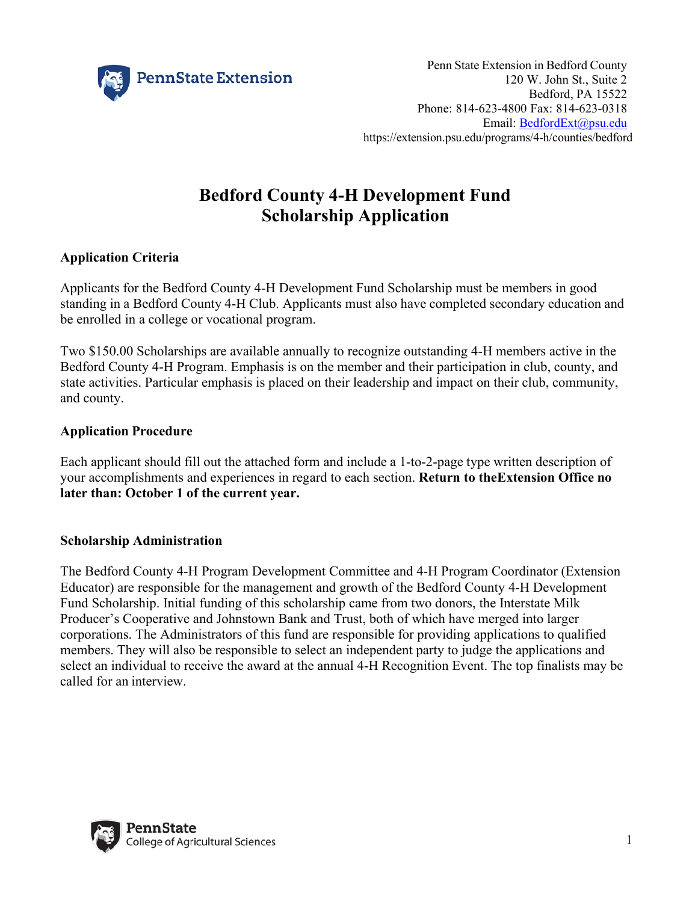

# **Bedford County 4-H Development Fund Scholarship Application**

### **Application Criteria**

Applicants for the Bedford County 4-H Development Fund Scholarship must be members in good standing in a Bedford County 4-H Club. Applicants must also have completed secondary education and be enrolled in a college or vocational program.

Two \$150.00 Scholarships are available annually to recognize outstanding 4-H members active in the Bedford County 4-H Program. Emphasis is on the member and their participation in club, county, and state activities. Particular emphasis is placed on their leadership and impact on their club, community, and county.

#### **Application Procedure**

Each applicant should fill out the attached form and include a 1-to-2-page type written description of your accomplishments and experiences in regard to each section. **Return to the Extension Office no later than: October 1 of the current year.**

#### **Scholarship Administration**

The Bedford County 4-H Program Development Committee and 4-H Program Coordinator (Extension Educator) are responsible for the management and growth of the Bedford County 4-H Development Fund Scholarship. Initial funding of this scholarship came from two donors, the Interstate Milk Producer's Cooperative and Johnstown Bank and Trust, both of which have merged into larger corporations. The Administrators of this fund are responsible for providing applications to qualified members. They will also be responsible to select an independent party to judge the applications and select an individual to receive the award at the annual 4-H Recognition Event. The top finalists may be called for an interview.

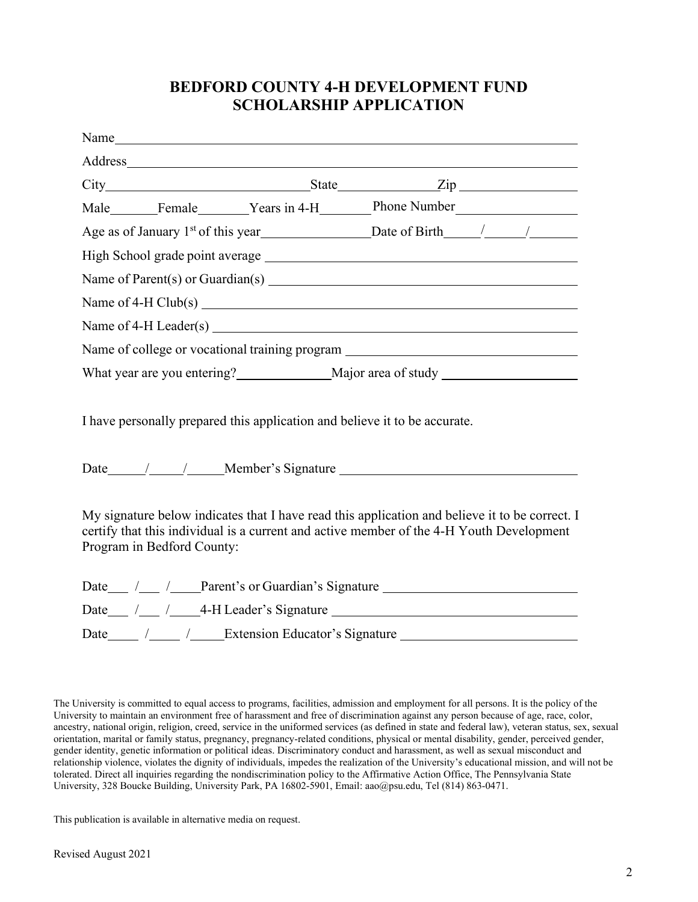## **BEDFORD COUNTY 4-H DEVELOPMENT FUND SCHOLARSHIP APPLICATION**

|                                                                                                                                                                                                                          |  | Name has a series of the series of the series of the series of the series of the series of the series of the series of the series of the series of the series of the series of the series of the series of the series of the s |  |  |
|--------------------------------------------------------------------------------------------------------------------------------------------------------------------------------------------------------------------------|--|--------------------------------------------------------------------------------------------------------------------------------------------------------------------------------------------------------------------------------|--|--|
|                                                                                                                                                                                                                          |  |                                                                                                                                                                                                                                |  |  |
|                                                                                                                                                                                                                          |  |                                                                                                                                                                                                                                |  |  |
|                                                                                                                                                                                                                          |  |                                                                                                                                                                                                                                |  |  |
| Age as of January 1st of this year<br><u>Date of Birth</u> $\frac{1}{2}$ Date of Birth $\frac{1}{2}$                                                                                                                     |  |                                                                                                                                                                                                                                |  |  |
|                                                                                                                                                                                                                          |  |                                                                                                                                                                                                                                |  |  |
|                                                                                                                                                                                                                          |  |                                                                                                                                                                                                                                |  |  |
| Name of $4-H$ Club(s) $\overline{\qquad \qquad }$                                                                                                                                                                        |  |                                                                                                                                                                                                                                |  |  |
|                                                                                                                                                                                                                          |  |                                                                                                                                                                                                                                |  |  |
| Name of college or vocational training program _________________________________                                                                                                                                         |  |                                                                                                                                                                                                                                |  |  |
|                                                                                                                                                                                                                          |  |                                                                                                                                                                                                                                |  |  |
| I have personally prepared this application and believe it to be accurate.                                                                                                                                               |  |                                                                                                                                                                                                                                |  |  |
| Date / / / Member's Signature                                                                                                                                                                                            |  |                                                                                                                                                                                                                                |  |  |
| My signature below indicates that I have read this application and believe it to be correct. I<br>certify that this individual is a current and active member of the 4-H Youth Development<br>Program in Bedford County: |  |                                                                                                                                                                                                                                |  |  |
| Date / / / Parent's or Guardian's Signature                                                                                                                                                                              |  |                                                                                                                                                                                                                                |  |  |
| Date / / / 4-H Leader's Signature                                                                                                                                                                                        |  |                                                                                                                                                                                                                                |  |  |
| Date_______ /______ /______Extension Educator's Signature ______________________                                                                                                                                         |  |                                                                                                                                                                                                                                |  |  |

The University is committed to equal access to programs, facilities, admission and employment for all persons. It is the policy of the University to maintain an environment free of harassment and free of discrimination against any person because of age, race, color, ancestry, national origin, religion, creed, service in the uniformed services (as defined in state and federal law), veteran status, sex, sexual orientation, marital or family status, pregnancy, pregnancy-related conditions, physical or mental disability, gender, perceived gender, gender identity, genetic information or political ideas. Discriminatory conduct and harassment, as well as sexual misconduct and relationship violence, violates the dignity of individuals, impedes the realization of the University's educational mission, and will not be tolerated. Direct all inquiries regarding the nondiscrimination policy to the Affirmative Action Office, The Pennsylvania State University, 328 Boucke Building, University Park, PA 16802-5901, Email: aao@psu.edu, Tel (814) 863-0471.

This publication is available in alternative media on request.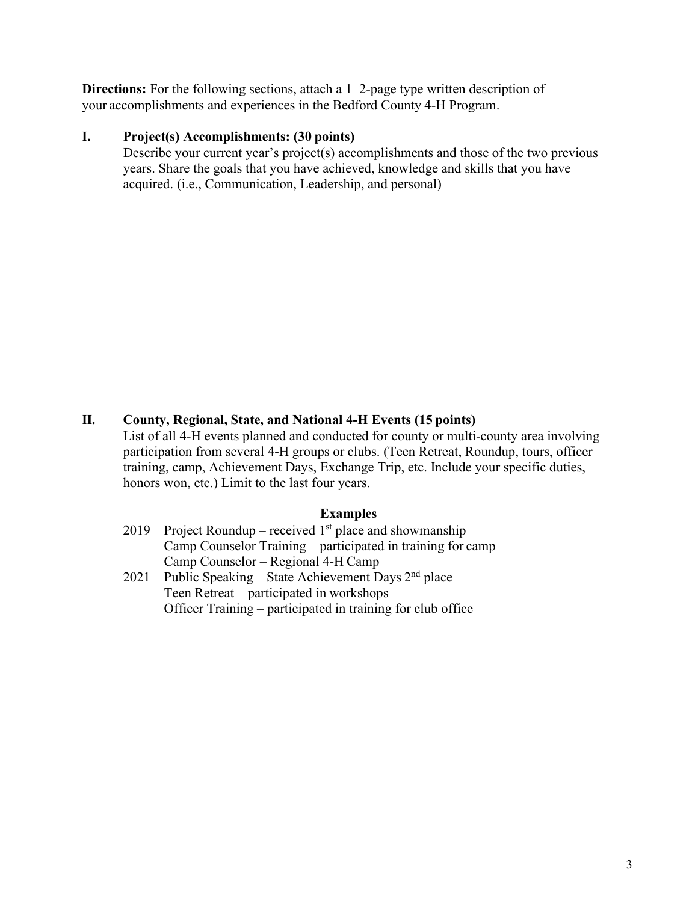**Directions:** For the following sections, attach a 1–2-page type written description of your accomplishments and experiences in the Bedford County 4-H Program.

#### **I. Project(s) Accomplishments: (30 points)**

Describe your current year's project(s) accomplishments and those of the two previous years. Share the goals that you have achieved, knowledge and skills that you have acquired. (i.e., Communication, Leadership, and personal)

#### **II. County, Regional, State, and National 4-H Events (15 points)**

List of all 4-H events planned and conducted for county or multi-county area involving participation from several 4-H groups or clubs. (Teen Retreat, Roundup, tours, officer training, camp, Achievement Days, Exchange Trip, etc. Include your specific duties, honors won, etc.) Limit to the last four years.

#### **Examples**

- 2019 Project Roundup received  $1<sup>st</sup>$  place and showmanship Camp Counselor Training – participated in training for camp Camp Counselor – Regional 4-H Camp
- 2021 Public Speaking State Achievement Days  $2<sup>nd</sup>$  place Teen Retreat – participated in workshops Officer Training – participated in training for club office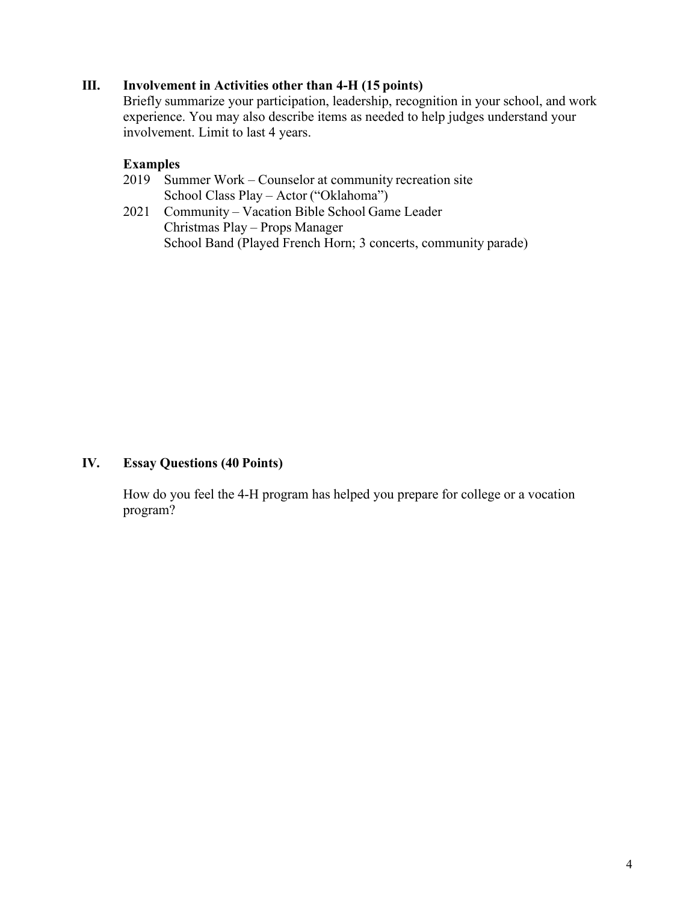#### **III. Involvement in Activities other than 4-H (15 points)**

Briefly summarize your participation, leadership, recognition in your school, and work experience. You may also describe items as needed to help judges understand your involvement. Limit to last 4 years.

#### **Examples**

- 2019 Summer Work Counselor at community recreation site School Class Play – Actor ("Oklahoma")
- 2021 Community Vacation Bible School Game Leader Christmas Play – Props Manager School Band (Played French Horn; 3 concerts, community parade)

#### **IV. Essay Questions (40 Points)**

How do you feel the 4-H program has helped you prepare for college or a vocation program?